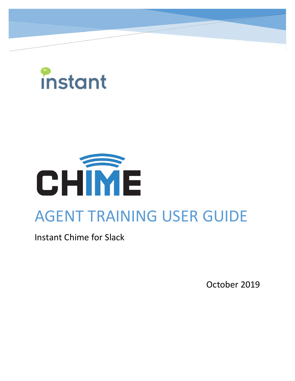



# AGENT TRAINING USER GUIDE

Instant Chime for Slack

October 2019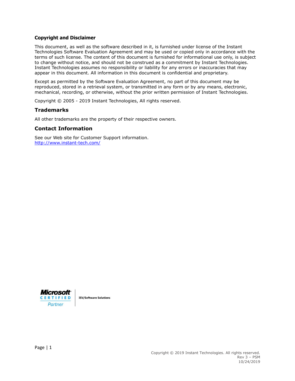#### **Copyright and Disclaimer**

This document, as well as the software described in it, is furnished under license of the Instant Technologies Software Evaluation Agreement and may be used or copied only in accordance with the terms of such license. The content of this document is furnished for informational use only, is subject to change without notice, and should not be construed as a commitment by Instant Technologies. Instant Technologies assumes no responsibility or liability for any errors or inaccuracies that may appear in this document. All information in this document is confidential and proprietary.

Except as permitted by the Software Evaluation Agreement, no part of this document may be reproduced, stored in a retrieval system, or transmitted in any form or by any means, electronic, mechanical, recording, or otherwise, without the prior written permission of Instant Technologies.

Copyright © 2005 - 2019 Instant Technologies, All rights reserved.

#### **Trademarks**

All other trademarks are the property of their respective owners.

#### **Contact Information**

See our Web site for Customer Support information. <http://www.instant-tech.com/>



**ISV/Software Solutions**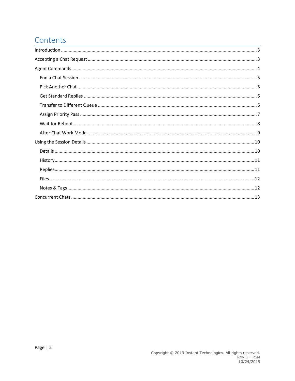# Contents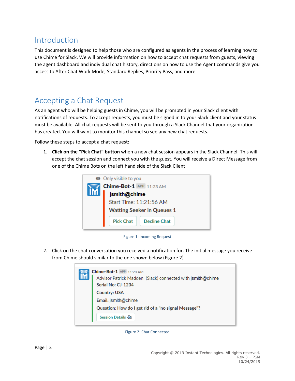# <span id="page-3-0"></span>Introduction

This document is designed to help those who are configured as agents in the process of learning how to use Chime for Slack. We will provide information on how to accept chat requests from guests, viewing the agent dashboard and individual chat history, directions on how to use the Agent commands give you access to After Chat Work Mode, Standard Replies, Priority Pass, and more.

# <span id="page-3-1"></span>Accepting a Chat Request

As an agent who will be helping guests in Chime, you will be prompted in your Slack client with notifications of requests. To accept requests, you must be signed in to your Slack client and your status must be available. All chat requests will be sent to you through a Slack Channel that your organization has created. You will want to monitor this channel so see any new chat requests.

Follow these steps to accept a chat request:

1. **Click on the "Pick Chat" button** when a new chat session appears in the Slack Channel. This will accept the chat session and connect you with the guest. You will receive a Direct Message from one of the Chime Bots on the left hand side of the Slack Client



Figure 1: Incoming Request

2. Click on the chat conversation you received a notification for. The initial message you receive from Chime should similar to the one shown below (Figure 2)



Figure 2: Chat Connected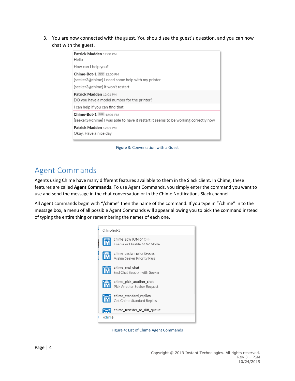3. You are now connected with the guest. You should see the guest's question, and you can now chat with the guest.

| Patrick Madden 12:00 PM<br>Hello                                                                                                                                   |
|--------------------------------------------------------------------------------------------------------------------------------------------------------------------|
| How can I help you?                                                                                                                                                |
| Chime-Bot-1 APP 12:00 PM<br>[seeker3@chime] I need some help with my printer<br>[seeker3@chime] it won't restart                                                   |
| Patrick Madden 12:01 PM<br>DO you have a model number for the printer?<br>I can help if you can find that                                                          |
| Chime-Bot-1 APP 12:01 PM<br>[seeker3@chime] I was able to have it restart it seems to be working correctly now<br>Patrick Madden 12:01 PM<br>Okay, Have a nice day |

Figure 3: Conversation with a Guest

## <span id="page-4-0"></span>Agent Commands

Agents using Chime have many different features available to them in the Slack client. In Chime, these features are called **Agent Commands**. To use Agent Commands, you simply enter the command you want to use and send the message in the chat conversation or in the Chime Notifications Slack channel.

All Agent commands begin with "/chime" then the name of the command. If you type in "/chime" in to the message box, a menu of all possible Agent Commands will appear allowing you to pick the command instead of typing the entire thing or remembering the names of each one.



Figure 4: List of Chime Agent Commands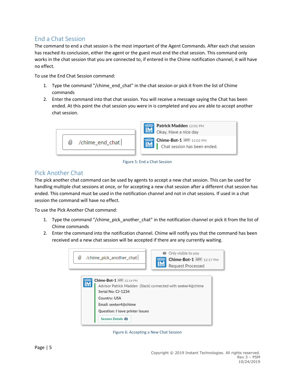## <span id="page-5-0"></span>End a Chat Session

The command to end a chat session is the most important of the Agent Commands. After each chat session has reached its conclusion, either the agent or the guest must end the chat session. This command only works in the chat session that you are connected to, if entered in the Chime notification channel, it will have no effect.

To use the End Chat Session command:

- 1. Type the command "/chime\_end\_chat" in the chat session or pick it from the list of Chime commands
- 2. Enter the command into that chat session. You will receive a message saying the Chat has been ended. At this point the chat session you were in is completed and you are able to accept another chat session.



Figure 5: End a Chat Session

## <span id="page-5-1"></span>Pick Another Chat

The pick another chat command can be used by agents to accept a new chat session. This can be used for handling multiple chat sessions at once, or for accepting a new chat session after a different chat session has ended. This command must be used in the notification channel and not in chat sessions. If used in a chat session the command will have no effect.

To use the Pick Another Chat command:

- 1. Type the command "/chime\_pick\_another\_chat" in the notification channel or pick it from the list of Chime commands
- 2. Enter the command into the notification channel. Chime will notify you that the command has been received and a new chat session will be accepted if there are any currently waiting.



Figure 6: Accepting a New Chat Session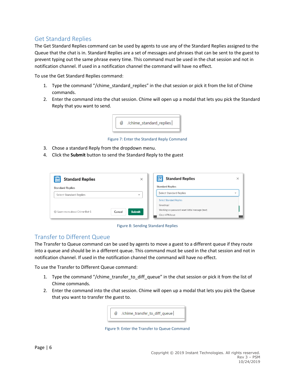## <span id="page-6-0"></span>Get Standard Replies

The Get Standard Replies command can be used by agents to use any of the Standard Replies assigned to the Queue that the chat is in. Standard Replies are a set of messages and phrases that can be sent to the guest to prevent typing out the same phrase every time. This command must be used in the chat session and not in notification channel. If used in a notification channel the command will have no effect.

To use the Get Standard Replies command:

- 1. Type the command "/chime\_standard\_replies" in the chat session or pick it from the list of Chime commands.
- 2. Enter the command into the chat session. Chime will open up a modal that lets you pick the Standard Reply that you want to send.



Figure 7: Enter the Standard Reply Command

- 3. Chose a standard Reply from the dropdown menu.
- 4. Click the **Submit** button to send the Standard Reply to the guest

| <b>Standard Replies</b>                                     | ×            | <b>Standard Replies</b><br>×                     |  |
|-------------------------------------------------------------|--------------|--------------------------------------------------|--|
| <b>Standard Replies</b>                                     |              | <b>Standard Replies</b>                          |  |
| Select Standard Replies                                     | $\checkmark$ | <b>Select Standard Replies</b><br>$\checkmark$   |  |
|                                                             |              | <b>Select Standard Replies</b>                   |  |
|                                                             |              | Greetings!                                       |  |
| <b>Submit</b><br>(?) Learn more about Chime-Bot-1<br>Cancel |              | Working on password reset initial message (text) |  |
|                                                             |              | Cisco VPN Issue                                  |  |

Figure 8: Sending Standard Replies

#### <span id="page-6-1"></span>Transfer to Different Queue

The Transfer to Queue command can be used by agents to move a guest to a different queue if they route into a queue and should be in a different queue. This command must be used in the chat session and not in notification channel. If used in the notification channel the command will have no effect.

To use the Transfer to Different Queue command:

- 1. Type the command "/chime\_transfer\_to\_diff\_queue" in the chat session or pick it from the list of Chime commands.
- 2. Enter the command into the chat session. Chime will open up a modal that lets you pick the Queue that you want to transfer the guest to.



Figure 9: Enter the Transfer to Queue Command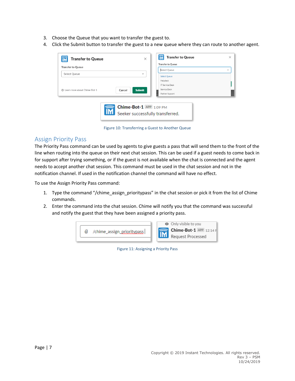- 3. Choose the Queue that you want to transfer the guest to.
- 4. Click the Submit button to transfer the guest to a new queue where they can route to another agent.



Figure 10: Transferring a Guest to Another Queue

#### <span id="page-7-0"></span>Assign Priority Pass

The Priority Pass command can be used by agents to give guests a pass that will send them to the front of the line when routing into the queue on their next chat session. This can be used if a guest needs to come back in for support after trying something, or if the guest is not available when the chat is connected and the agent needs to accept another chat session. This command must be used in the chat session and not in the notification channel. If used in the notification channel the command will have no effect.

To use the Assign Priority Pass command:

- 1. Type the command "/chime\_assign\_prioritypass" in the chat session or pick it from the list of Chime commands.
- 2. Enter the command into the chat session. Chime will notify you that the command was successful and notify the guest that they have been assigned a priority pass.



Figure 11: Assigning a Priority Pass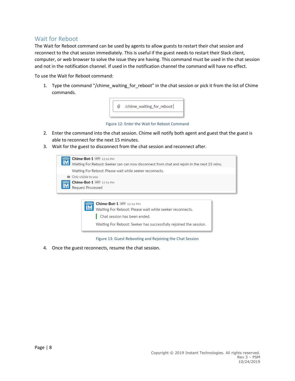#### <span id="page-8-0"></span>Wait for Reboot

The Wait for Reboot command can be used by agents to allow guests to restart their chat session and reconnect to the chat session immediately. This is useful if the guest needs to restart their Slack client, computer, or web browser to solve the issue they are having. This command must be used in the chat session and not in the notification channel. If used in the notification channel the command will have no effect.

To use the Wait for Reboot command:

1. Type the command "/chime\_waiting\_for\_reboot" in the chat session or pick it from the list of Chime commands.



Figure 12: Enter the Wait for Reboot Command

- 2. Enter the command into the chat session. Chime will notify both agent and guest that the guest is able to reconnect for the next 15 minutes.
- 3. Wait for the guest to disconnect from the chat session and reconnect after.

| Chime-Bot-1 APP 12:16 PM<br>Waiting For Reboot: Seeker can can now disconnect from chat and rejoin in the next 15 mins. |
|-------------------------------------------------------------------------------------------------------------------------|
| Waiting For Reboot: Please wait while seeker reconnects.                                                                |
| • Only visible to you                                                                                                   |
| <b>Chime-Bot-1</b> APP 12:16 PM                                                                                         |
| Request Processed                                                                                                       |
|                                                                                                                         |



Figure 13: Guest Rebooting and Rejoining the Chat Session

4. Once the guest reconnects, resume the chat session.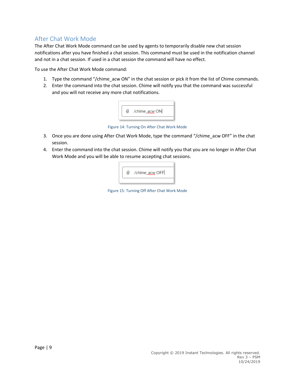## <span id="page-9-0"></span>After Chat Work Mode

The After Chat Work Mode command can be used by agents to temporarily disable new chat session notifications after you have finished a chat session. This command must be used in the notification channel and not in a chat session. If used in a chat session the command will have no effect.

To use the After Chat Work Mode command:

- 1. Type the command "/chime\_acw ON" in the chat session or pick it from the list of Chime commands.
- 2. Enter the command into the chat session. Chime will notify you that the command was successful and you will not receive any more chat notifications.



Figure 14: Turning On After Chat Work Mode

- 3. Once you are done using After Chat Work Mode, type the command "/chime\_acw OFF" in the chat session.
- 4. Enter the command into the chat session. Chime will notify you that you are no longer in After Chat Work Mode and you will be able to resume accepting chat sessions.



Figure 15: Turning Off After Chat Work Mode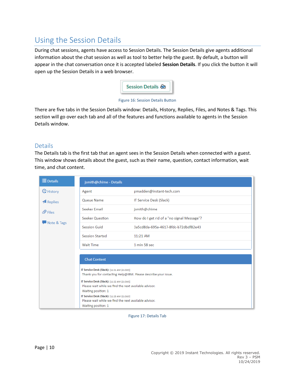## <span id="page-10-0"></span>Using the Session Details

During chat sessions, agents have access to Session Details. The Session Details give agents additional information about the chat session as well as tool to better help the guest. By default, a button will appear in the chat conversation once it is accepted labeled **Session Details**. If you click the button it will open up the Session Details in a web browser.



#### Figure 16: Session Details Button

There are five tabs in the Session Details window: Details, History, Replies, Files, and Notes & Tags. This section will go over each tab and all of the features and functions available to agents in the Session Details window.

#### <span id="page-10-1"></span>Details

The Details tab is the first tab that an agent sees in the Session Details when connected with a guest. This window shows details about the guest, such as their name, question, contact information, wait time, and chat content.

| $\equiv$ Details    | jsmith@chime - Details                                                                                                                                                                                                                                                                                                                                                                                |                                            |
|---------------------|-------------------------------------------------------------------------------------------------------------------------------------------------------------------------------------------------------------------------------------------------------------------------------------------------------------------------------------------------------------------------------------------------------|--------------------------------------------|
| G History           | Agent                                                                                                                                                                                                                                                                                                                                                                                                 | pmadden@instant-tech.com                   |
| <b>A</b> Replies    | Queue Name                                                                                                                                                                                                                                                                                                                                                                                            | IT Service Desk (Slack)                    |
| $\mathscr{D}$ Files | Seeker Email                                                                                                                                                                                                                                                                                                                                                                                          | jsmith@chime                               |
|                     | <b>Seeker Question</b>                                                                                                                                                                                                                                                                                                                                                                                | How do I get rid of a "no signal Message"? |
| Mote & Tags         | <b>Session Guid</b>                                                                                                                                                                                                                                                                                                                                                                                   | 3a5cd8da-695a-4617-8fdc-b72dbdf82e43       |
|                     | <b>Session Started</b>                                                                                                                                                                                                                                                                                                                                                                                | 11:21 AM                                   |
|                     | <b>Wait Time</b>                                                                                                                                                                                                                                                                                                                                                                                      | 1 min 58 sec                               |
|                     | <b>Chat Content</b><br>IT Service Desk (Slack): [11:21 AM (21 Oct)]<br>Thank you for contacting Help@IBM. Please describe your issue.<br>IT Service Desk (Slack): [11:22 AM (21 Oct)]<br>Please wait while we find the next available advisor.<br>Waiting position: 1<br>IT Service Desk (Slack): [11:23 AM (21 Oct)]<br>Please wait while we find the next available advisor.<br>Waiting position: 1 |                                            |

Figure 17: Details Tab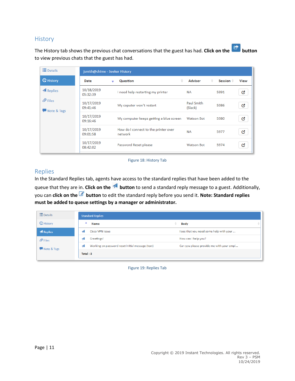### <span id="page-11-0"></span>**History**

The History tab shows the previous chat conversations that the guest has had. **Click on the button** to view previous chats that the guest has had.

| <b>E</b> Details                   | jsmith@chime - Seeker History |                                                 |                       |                           |      |
|------------------------------------|-------------------------------|-------------------------------------------------|-----------------------|---------------------------|------|
| <b>Q</b> History                   | Date                          | ÷<br>Question<br>٠                              | <b>Advisor</b>        | ÷<br>Session $\triangleq$ | View |
| <b>A</b> Replies                   | 10/18/2019<br>05:32:39        | I need help restarting my printer               | NA.                   | 5991                      | G    |
| $\mathscr{D}$ Files<br>Note & Tags | 10/17/2019<br>09:41:46        | My coputer won't restart                        | Paul Smith<br>(Slack) | 5986                      | Q,   |
|                                    | 10/17/2019<br>09:16:46        | My computer keeps getting a blue screen         | <b>Watson Bot</b>     | 5980                      | G    |
|                                    | 10/17/2019<br>09:01:58        | How do I connect to the printer over<br>network | <b>NA</b>             | 5977                      | G    |
|                                    | 10/17/2019<br>08:42:02        | Password Reset please                           | <b>Watson Bot</b>     | 5974                      | G,   |

Figure 18: History Tab

#### <span id="page-11-1"></span>Replies

In the Standard Replies tab, agents have access to the standard replies that have been added to the queue that they are in. **Click on the button** to send a standard reply message to a guest. Additionally, you can **click on the button** to edit the standard reply before you send it. **Note: Standard replies must be added to queue settings by a manager or administrator.**

| $\equiv$ Details    | <b>Standard Replies</b>                                 |                                          |  |
|---------------------|---------------------------------------------------------|------------------------------------------|--|
| <b>G</b> History    | Name                                                    | <b>Body</b><br>ê.                        |  |
| <b>A</b> Replies    | <b>Cisco VPN Issue</b>                                  | I see that you need some help with your  |  |
| $\mathscr{D}$ Files | Greetings!                                              | How can I help you?                      |  |
| Note & Tags         | Working on password reset initial message (text)<br>-0. | Can you please provide me with your empl |  |
|                     | Total:3                                                 |                                          |  |

Figure 19: Replies Tab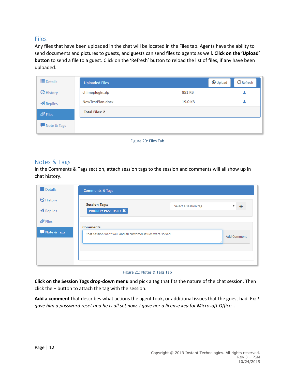### <span id="page-12-0"></span>Files

Any files that have been uploaded in the chat will be located in the Files tab. Agents have the ability to send documents and pictures to guests, and guests can send files to agents as well. **Click on the 'Upload' button** to send a file to a guest. Click on the 'Refresh' button to reload the list of files, if any have been uploaded.

| $\equiv$ Details    | <b>Uploaded Files</b> |         | $\sigma$ Refresh<br><b>O</b> Upload |  |
|---------------------|-----------------------|---------|-------------------------------------|--|
| <b>G</b> History    | chimeplugin.zip       | 851 KB  | 玉                                   |  |
| <b>A</b> Replies    | NewTestPlan.docx      | 19.0 KB | 玉                                   |  |
| $\mathscr{D}$ Files | <b>Total Files: 2</b> |         |                                     |  |
| Note & Tags         |                       |         |                                     |  |

Figure 20: Files Tab

#### <span id="page-12-1"></span>Notes & Tags

In the Comments & Tags section, attach session tags to the session and comments will all show up in chat history.

| $\equiv$ Details            | <b>Comments &amp; Tags</b>                                                                       |
|-----------------------------|--------------------------------------------------------------------------------------------------|
| <b>G</b> History<br>Replies | <b>Session Tags:</b><br>۰<br>$\mathbf{v}$<br>Select a session tag<br><b>PRIORITY-PASS-USED X</b> |
| $\oslash$ Files             | <b>Comments</b>                                                                                  |
| Note & Tags                 | Chat session went well and all customer issues were solved<br><b>Add Comment</b>                 |
|                             |                                                                                                  |

#### Figure 21: Notes & Tags Tab

**Click on the Session Tags drop-down menu** and pick a tag that fits the nature of the chat session. Then click the + button to attach the tag with the session.

**Add a comment** that describes what actions the agent took, or additional issues that the guest had. Ex: *I gave him a password reset and he is all set now, I gave her a license key for Microsoft Office…*